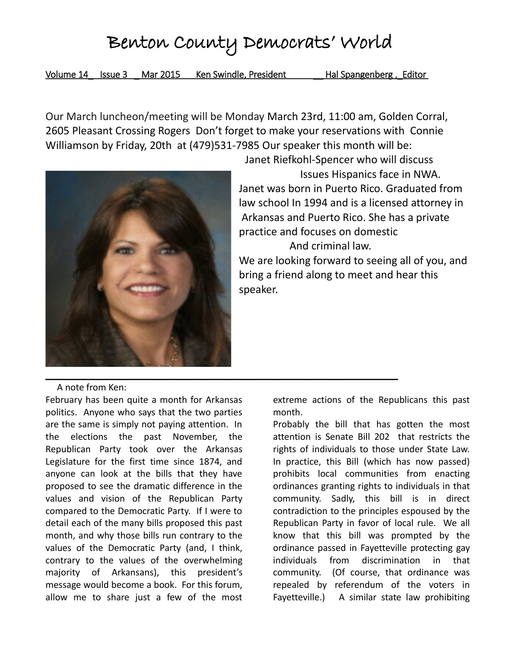Volume 14 Issue 3 Mar 2015 Ken Swindle, President Hal Spangenberg, Editor

Our March luncheon/meeting will be Monday March 23rd, 11:00 am, Golden Corral, 2605 Pleasant Crossing Rogers Don't forget to make your reservations with Connie Williamson by Friday, 20th at (479)531-7985 Our speaker this month will be:



Janet Riefkohl-Spencer who will discuss

 Issues Hispanics face in NWA. Janet was born in Puerto Rico. Graduated from law school In 1994 and is a licensed attorney in Arkansas and Puerto Rico. She has a private practice and focuses on domestic

And criminal law.

We are looking forward to seeing all of you, and bring a friend along to meet and hear this speaker.

#### A note from Ken:

February has been quite a month for Arkansas politics. Anyone who says that the two parties are the same is simply not paying attention. In the elections the past November, the Republican Party took over the Arkansas Legislature for the first time since 1874, and anyone can look at the bills that they have proposed to see the dramatic difference in the values and vision of the Republican Party compared to the Democratic Party. If I were to detail each of the many bills proposed this past month, and why those bills run contrary to the values of the Democratic Party (and, I think, contrary to the values of the overwhelming majority of Arkansans), this president's message would become a book. For this forum, allow me to share just a few of the most

extreme actions of the Republicans this past month.

Probably the bill that has gotten the most attention is Senate Bill 202 that restricts the rights of individuals to those under State Law. In practice, this Bill (which has now passed) prohibits local communities from enacting ordinances granting rights to individuals in that community. Sadly, this bill is in direct contradiction to the principles espoused by the Republican Party in favor of local rule. We all know that this bill was prompted by the ordinance passed in Fayetteville protecting gay individuals from discrimination in that community. (Of course, that ordinance was repealed by referendum of the voters in Fayetteville.) A similar state law prohibiting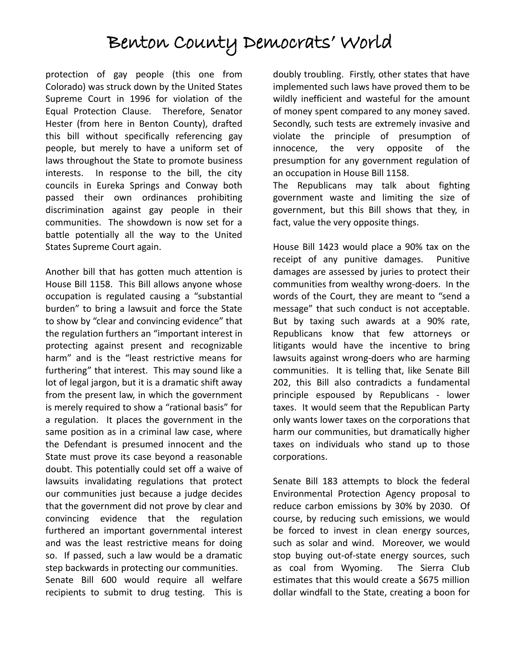protection of gay people (this one from Colorado) was struck down by the United States Supreme Court in 1996 for violation of the Equal Protection Clause. Therefore, Senator Hester (from here in Benton County), drafted this bill without specifically referencing gay people, but merely to have a uniform set of laws throughout the State to promote business interests. In response to the bill, the city councils in Eureka Springs and Conway both passed their own ordinances prohibiting discrimination against gay people in their communities. The showdown is now set for a battle potentially all the way to the United States Supreme Court again.

Another bill that has gotten much attention is House Bill 1158. This Bill allows anyone whose occupation is regulated causing a "substantial burden" to bring a lawsuit and force the State to show by "clear and convincing evidence" that the regulation furthers an "important interest in protecting against present and recognizable harm" and is the "least restrictive means for furthering" that interest. This may sound like a lot of legal jargon, but it is a dramatic shift away from the present law, in which the government is merely required to show a "rational basis" for a regulation. It places the government in the same position as in a criminal law case, where the Defendant is presumed innocent and the State must prove its case beyond a reasonable doubt. This potentially could set off a waive of lawsuits invalidating regulations that protect our communities just because a judge decides that the government did not prove by clear and convincing evidence that the regulation furthered an important governmental interest and was the least restrictive means for doing so. If passed, such a law would be a dramatic step backwards in protecting our communities. Senate Bill 600 would require all welfare recipients to submit to drug testing. This is

doubly troubling. Firstly, other states that have implemented such laws have proved them to be wildly inefficient and wasteful for the amount of money spent compared to any money saved. Secondly, such tests are extremely invasive and violate the principle of presumption of innocence, the very opposite of the presumption for any government regulation of an occupation in House Bill 1158.

The Republicans may talk about fighting government waste and limiting the size of government, but this Bill shows that they, in fact, value the very opposite things.

House Bill 1423 would place a 90% tax on the receipt of any punitive damages. Punitive damages are assessed by juries to protect their communities from wealthy wrong-doers. In the words of the Court, they are meant to "send a message" that such conduct is not acceptable. But by taxing such awards at a 90% rate, Republicans know that few attorneys or litigants would have the incentive to bring lawsuits against wrong-doers who are harming communities. It is telling that, like Senate Bill 202, this Bill also contradicts a fundamental principle espoused by Republicans - lower taxes. It would seem that the Republican Party only wants lower taxes on the corporations that harm our communities, but dramatically higher taxes on individuals who stand up to those corporations.

Senate Bill 183 attempts to block the federal Environmental Protection Agency proposal to reduce carbon emissions by 30% by 2030. Of course, by reducing such emissions, we would be forced to invest in clean energy sources, such as solar and wind. Moreover, we would stop buying out-of-state energy sources, such as coal from Wyoming. The Sierra Club estimates that this would create a \$675 million dollar windfall to the State, creating a boon for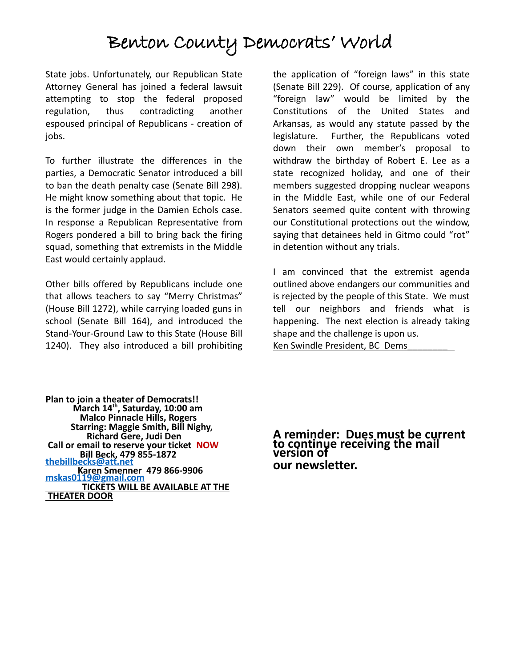State jobs. Unfortunately, our Republican State Attorney General has joined a federal lawsuit attempting to stop the federal proposed regulation, thus contradicting another espoused principal of Republicans - creation of iobs.

To further illustrate the differences in the parties, a Democratic Senator introduced a bill to ban the death penalty case (Senate Bill 298). He might know something about that topic. He is the former judge in the Damien Echols case. In response a Republican Representative from Rogers pondered a bill to bring back the firing squad, something that extremists in the Middle East would certainly applaud.

Other bills offered by Republicans include one that allows teachers to say "Merry Christmas" (House Bill 1272), while carrying loaded guns in school (Senate Bill 164), and introduced the Stand-Your-Ground Law to this State (House Bill 1240). They also introduced a bill prohibiting the application of "foreign laws" in this state (Senate Bill 229). Of course, application of any "foreign law" would be limited by the Constitutions of the United States and Arkansas, as would any statute passed by the legislature. Further, the Republicans voted down their own member's proposal to withdraw the birthday of Robert E. Lee as a state recognized holiday, and one of their members suggested dropping nuclear weapons in the Middle East, while one of our Federal Senators seemed quite content with throwing our Constitutional protections out the window, saying that detainees held in Gitmo could "rot" in detention without any trials.

I am convinced that the extremist agenda outlined above endangers our communities and is rejected by the people of this State. We must tell our neighbors and friends what is happening. The next election is already taking shape and the challenge is upon us. Ken Swindle President, BC Dems

**Plan to join a theater of Democrats!! March 14th, Saturday, 10:00 am Malco Pinnacle Hills, Rogers Starring: Maggie Smith, Bill Nighy, Richard Gere, Judi Den Call or email to reserve your ticket NOW Bill Beck, 479 855-1872 [thebillbecks@att.net](mailto:thebillbecks@att.net) Karen Smenner 479 866-9906 [mskas0119@gmail.com](mailto:mskas0119@gmail.com) TICKETS WILL BE AVAILABLE AT THE THEATER DOOR**

**A reminder: Dues must be current to continue receiving the mail version of our newsletter.**